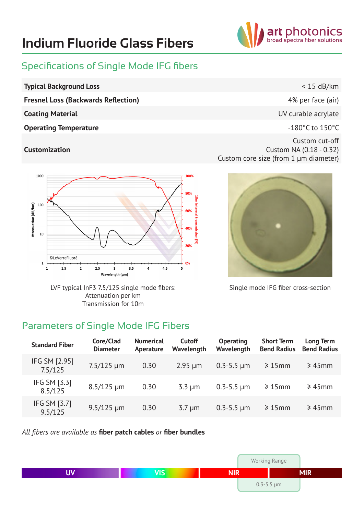# **Indium Fluoride Glass Fibers**



#### Specifications of Single Mode IFG fibers

- **Typical Background Loss** < 15 dB/km
	- **Fresnel Loss (Backwards Reflection) Fresnel Loss (Backwards Reflection) 1% 4%** per face (air)
	-
	- **Operating Temperature COLLEGE 2008 COLLEGE 2009 COLLEGE 2009 C**  $\sim$  180°C to 150°C

#### **Customization**

**Coating Material Coating Material Coating Material Coating Material Coating Material Coating Material Coating Material Coating Material Coating Material Coating Material Coating Material Coating Mate** 

Custom cut-off Custom NA (0.18 - 0.32) Custom core size (from 1 µm diameter)



LVF typical InF3 7.5/125 single mode fibers: Attenuation per km Transmission for 10m



Single mode IFG fiber cross-section

## Parameters of Single Mode IFG Fibers

| <b>Standard Fiber</b>    | Core/Clad<br><b>Diameter</b> | <b>Numerical</b><br>Aperature | <b>Cutoff</b><br>Wavelength | <b>Operating</b><br>Wavelength | <b>Short Term</b><br><b>Bend Radius</b> | <b>Long Term</b><br><b>Bend Radius</b> |
|--------------------------|------------------------------|-------------------------------|-----------------------------|--------------------------------|-----------------------------------------|----------------------------------------|
| IFG SM [2.95]<br>7.5/125 | $7.5/125 \mu m$              | 0.30                          | $2.95 \mu m$                | $0.3 - 5.5 \mu m$              | $\geq 15$ mm                            | $\geq 45$ mm                           |
| IFG SM [3.3]<br>8.5/125  | $8.5/125 \mu m$              | 0.30                          | $3.3 \mu m$                 | $0.3 - 5.5 \mu m$              | $\geq 15$ mm                            | $\geq 45$ mm                           |
| IFG SM [3.7]<br>9.5/125  | $9.5/125 \mu m$              | 0.30                          | $3.7 \mu m$                 | $0.3 - 5.5 \mu m$              | $\geq 15$ mm                            | $\geq 45$ mm                           |

*All fibers are available as* **fiber patch cables** *or* **fiber bundles**

|    |                |            | <b>Working Range</b> |            |
|----|----------------|------------|----------------------|------------|
| ПV | $\overline{I}$ | <b>NIR</b> |                      | <b>MIR</b> |
|    |                |            | $0.3 - 5.5 \mu m$    |            |